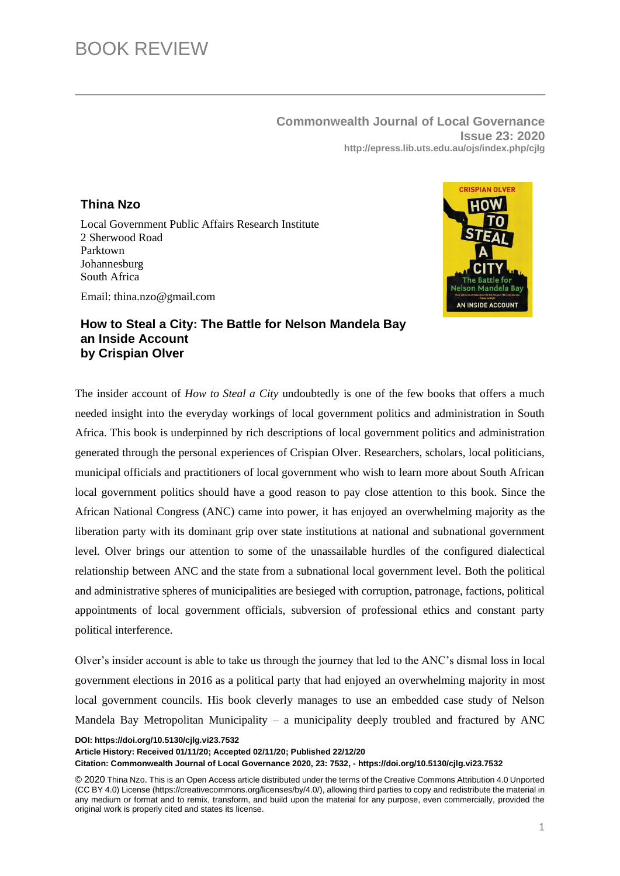**Commonwealth Journal of Local Governance Issue 23: 2020 http://epress.lib.uts.edu.au/ojs/index.php/cjlg**

## **Thina Nzo**

Local Government Public Affairs Research Institute 2 Sherwood Road Parktown Johannesburg South Africa

Email: thina.nzo@gmail.com



## **How to Steal a City: The Battle for Nelson Mandela Bay an Inside Account by Crispian Olver**

The insider account of *How to Steal a City* undoubtedly is one of the few books that offers a much needed insight into the everyday workings of local government politics and administration in South Africa. This book is underpinned by rich descriptions of local government politics and administration generated through the personal experiences of Crispian Olver. Researchers, scholars, local politicians, municipal officials and practitioners of local government who wish to learn more about South African local government politics should have a good reason to pay close attention to this book. Since the African National Congress (ANC) came into power, it has enjoyed an overwhelming majority as the liberation party with its dominant grip over state institutions at national and subnational government level. Olver brings our attention to some of the unassailable hurdles of the configured dialectical relationship between ANC and the state from a subnational local government level. Both the political and administrative spheres of municipalities are besieged with corruption, patronage, factions, political appointments of local government officials, subversion of professional ethics and constant party political interference.

Olver's insider account is able to take us through the journey that led to the ANC's dismal loss in local government elections in 2016 as a political party that had enjoyed an overwhelming majority in most local government councils. His book cleverly manages to use an embedded case study of Nelson Mandela Bay Metropolitan Municipality – a municipality deeply troubled and fractured by ANC

**DOI: https://doi.org/10.5130/cjlg.vi23.7532**

**Article History: Received 01/11/20; Accepted 02/11/20; Published 22/12/20 Citation: Commonwealth Journal of Local Governance 2020, 23: 7532, - https://doi.org/10.5130/cjlg.vi23.7532**

<sup>© 2020</sup> Thina Nzo. This is an Open Access article distributed under the terms of the Creative Commons Attribution 4.0 Unported (CC BY 4.0) License (https://creativecommons.org/licenses/by/4.0/), allowing third parties to copy and redistribute the material in any medium or format and to remix, transform, and build upon the material for any purpose, even commercially, provided the original work is properly cited and states its license.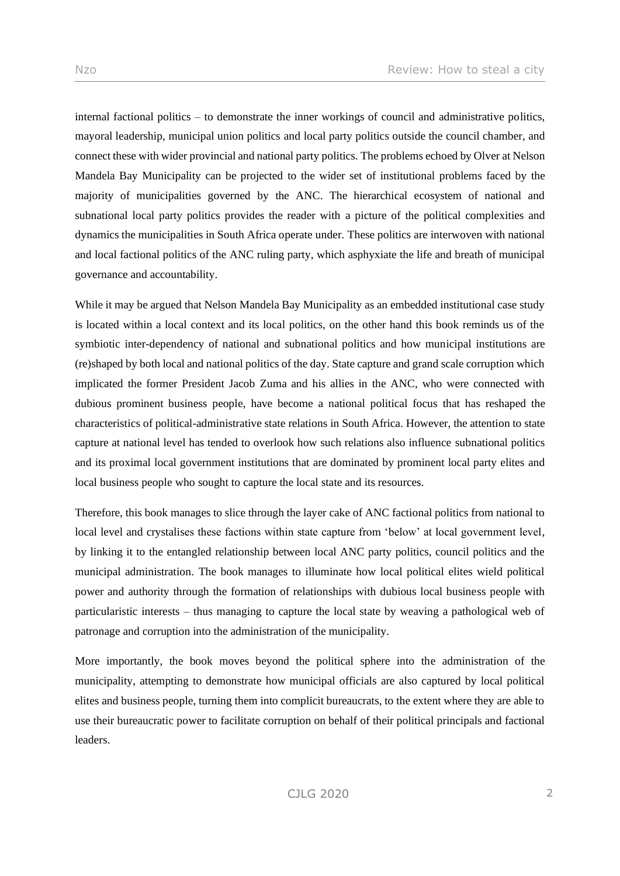internal factional politics – to demonstrate the inner workings of council and administrative politics, mayoral leadership, municipal union politics and local party politics outside the council chamber, and connect these with wider provincial and national party politics. The problems echoed by Olver at Nelson Mandela Bay Municipality can be projected to the wider set of institutional problems faced by the majority of municipalities governed by the ANC. The hierarchical ecosystem of national and subnational local party politics provides the reader with a picture of the political complexities and dynamics the municipalities in South Africa operate under. These politics are interwoven with national and local factional politics of the ANC ruling party, which asphyxiate the life and breath of municipal governance and accountability.

While it may be argued that Nelson Mandela Bay Municipality as an embedded institutional case study is located within a local context and its local politics, on the other hand this book reminds us of the symbiotic inter-dependency of national and subnational politics and how municipal institutions are (re)shaped by both local and national politics of the day. State capture and grand scale corruption which implicated the former President Jacob Zuma and his allies in the ANC, who were connected with dubious prominent business people, have become a national political focus that has reshaped the characteristics of political-administrative state relations in South Africa. However, the attention to state capture at national level has tended to overlook how such relations also influence subnational politics and its proximal local government institutions that are dominated by prominent local party elites and local business people who sought to capture the local state and its resources.

Therefore, this book manages to slice through the layer cake of ANC factional politics from national to local level and crystalises these factions within state capture from 'below' at local government level, by linking it to the entangled relationship between local ANC party politics, council politics and the municipal administration. The book manages to illuminate how local political elites wield political power and authority through the formation of relationships with dubious local business people with particularistic interests – thus managing to capture the local state by weaving a pathological web of patronage and corruption into the administration of the municipality.

More importantly, the book moves beyond the political sphere into the administration of the municipality, attempting to demonstrate how municipal officials are also captured by local political elites and business people, turning them into complicit bureaucrats, to the extent where they are able to use their bureaucratic power to facilitate corruption on behalf of their political principals and factional leaders.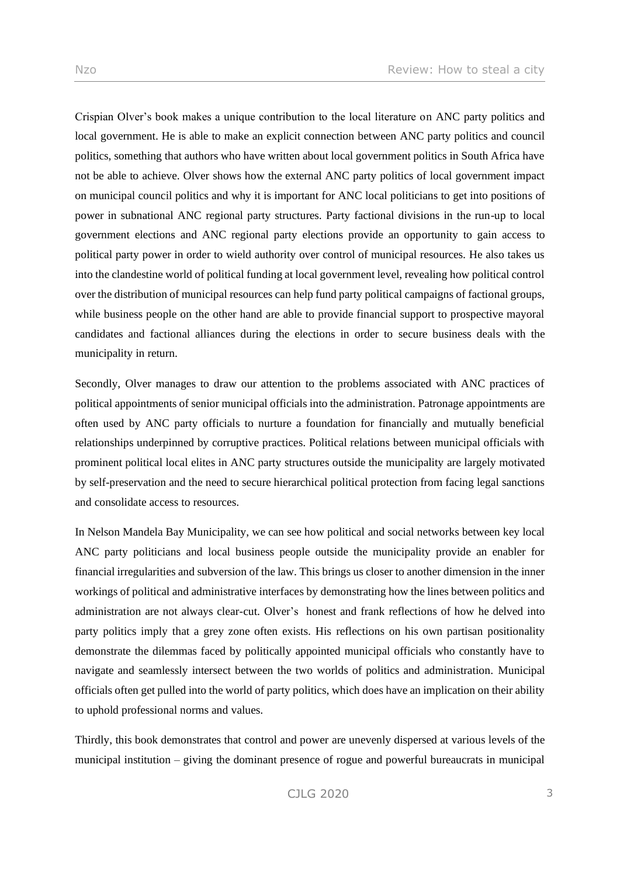Crispian Olver's book makes a unique contribution to the local literature on ANC party politics and local government. He is able to make an explicit connection between ANC party politics and council politics, something that authors who have written about local government politics in South Africa have not be able to achieve. Olver shows how the external ANC party politics of local government impact on municipal council politics and why it is important for ANC local politicians to get into positions of power in subnational ANC regional party structures. Party factional divisions in the run-up to local government elections and ANC regional party elections provide an opportunity to gain access to political party power in order to wield authority over control of municipal resources. He also takes us into the clandestine world of political funding at local government level, revealing how political control over the distribution of municipal resources can help fund party political campaigns of factional groups, while business people on the other hand are able to provide financial support to prospective mayoral candidates and factional alliances during the elections in order to secure business deals with the municipality in return.

Secondly, Olver manages to draw our attention to the problems associated with ANC practices of political appointments of senior municipal officials into the administration. Patronage appointments are often used by ANC party officials to nurture a foundation for financially and mutually beneficial relationships underpinned by corruptive practices. Political relations between municipal officials with prominent political local elites in ANC party structures outside the municipality are largely motivated by self-preservation and the need to secure hierarchical political protection from facing legal sanctions and consolidate access to resources.

In Nelson Mandela Bay Municipality, we can see how political and social networks between key local ANC party politicians and local business people outside the municipality provide an enabler for financial irregularities and subversion of the law. This brings us closer to another dimension in the inner workings of political and administrative interfaces by demonstrating how the lines between politics and administration are not always clear-cut. Olver's honest and frank reflections of how he delved into party politics imply that a grey zone often exists. His reflections on his own partisan positionality demonstrate the dilemmas faced by politically appointed municipal officials who constantly have to navigate and seamlessly intersect between the two worlds of politics and administration. Municipal officials often get pulled into the world of party politics, which does have an implication on their ability to uphold professional norms and values.

Thirdly, this book demonstrates that control and power are unevenly dispersed at various levels of the municipal institution – giving the dominant presence of rogue and powerful bureaucrats in municipal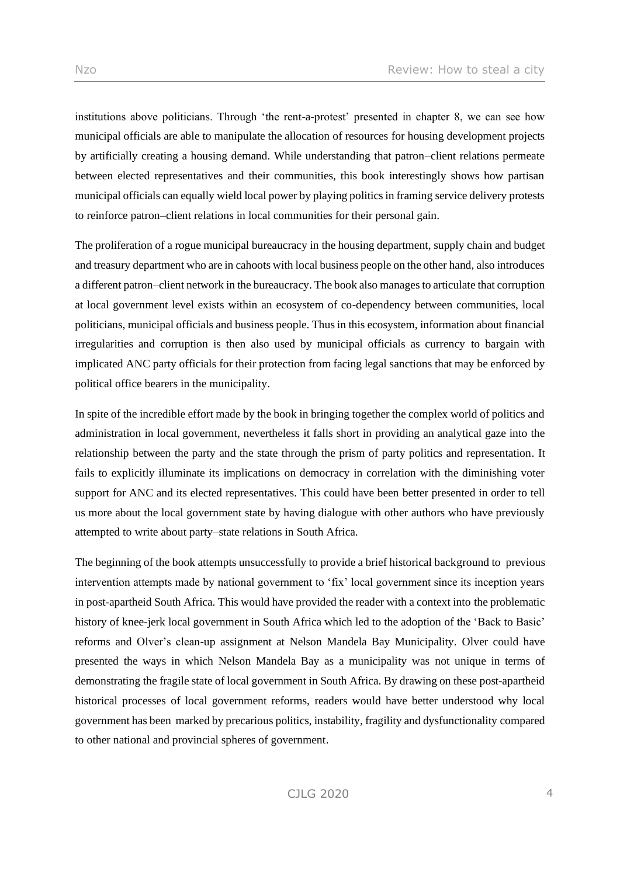institutions above politicians. Through 'the rent-a-protest' presented in chapter 8, we can see how municipal officials are able to manipulate the allocation of resources for housing development projects by artificially creating a housing demand. While understanding that patron–client relations permeate between elected representatives and their communities, this book interestingly shows how partisan municipal officials can equally wield local power by playing politics in framing service delivery protests to reinforce patron–client relations in local communities for their personal gain.

The proliferation of a rogue municipal bureaucracy in the housing department, supply chain and budget and treasury department who are in cahoots with local business people on the other hand, also introduces a different patron–client network in the bureaucracy. The book also manages to articulate that corruption at local government level exists within an ecosystem of co-dependency between communities, local politicians, municipal officials and business people. Thus in this ecosystem, information about financial irregularities and corruption is then also used by municipal officials as currency to bargain with implicated ANC party officials for their protection from facing legal sanctions that may be enforced by political office bearers in the municipality.

In spite of the incredible effort made by the book in bringing together the complex world of politics and administration in local government, nevertheless it falls short in providing an analytical gaze into the relationship between the party and the state through the prism of party politics and representation. It fails to explicitly illuminate its implications on democracy in correlation with the diminishing voter support for ANC and its elected representatives. This could have been better presented in order to tell us more about the local government state by having dialogue with other authors who have previously attempted to write about party–state relations in South Africa.

The beginning of the book attempts unsuccessfully to provide a brief historical background to previous intervention attempts made by national government to 'fix' local government since its inception years in post-apartheid South Africa. This would have provided the reader with a context into the problematic history of knee-jerk local government in South Africa which led to the adoption of the 'Back to Basic' reforms and Olver's clean-up assignment at Nelson Mandela Bay Municipality. Olver could have presented the ways in which Nelson Mandela Bay as a municipality was not unique in terms of demonstrating the fragile state of local government in South Africa. By drawing on these post-apartheid historical processes of local government reforms, readers would have better understood why local government has been marked by precarious politics, instability, fragility and dysfunctionality compared to other national and provincial spheres of government.